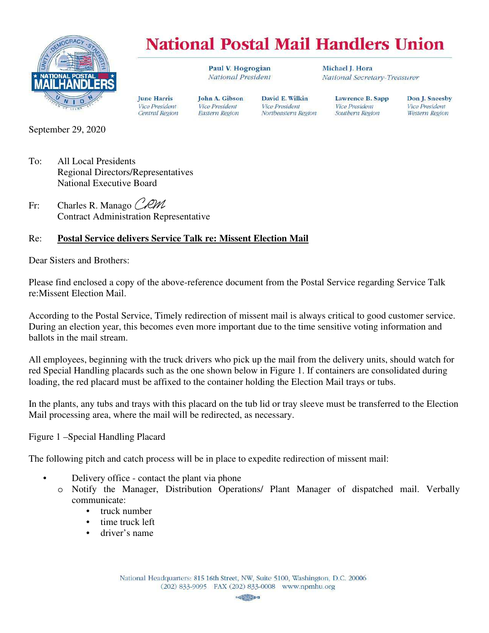

## **National Postal Mail Handlers Union**

David E. Wilkin

Northeastern Region

**Vice President** 

Paul V. Hogrogian National President

John A. Gibson

**Vice President** 

Eastern Region

Michael J. Hora National Secretary-Treasurer

> Lawrence B. Sapp **Vice President** Southern Region

Don J. Sneesby **Vice President Western Region** 

September 29, 2020

- To: All Local Presidents Regional Directors/Representatives National Executive Board
- Fr: Charles R. Manago CRM Contract Administration Representative

## Re: **Postal Service delivers Service Talk re: Missent Election Mail**

**June Harris** 

**Vice President** 

Central Region

Dear Sisters and Brothers:

Please find enclosed a copy of the above-reference document from the Postal Service regarding Service Talk re:Missent Election Mail.

According to the Postal Service, Timely redirection of missent mail is always critical to good customer service. During an election year, this becomes even more important due to the time sensitive voting information and ballots in the mail stream.

All employees, beginning with the truck drivers who pick up the mail from the delivery units, should watch for red Special Handling placards such as the one shown below in Figure 1. If containers are consolidated during loading, the red placard must be affixed to the container holding the Election Mail trays or tubs.

In the plants, any tubs and trays with this placard on the tub lid or tray sleeve must be transferred to the Election Mail processing area, where the mail will be redirected, as necessary.

Figure 1 –Special Handling Placard

The following pitch and catch process will be in place to expedite redirection of missent mail:

- Delivery office contact the plant via phone
	- o Notify the Manager, Distribution Operations/ Plant Manager of dispatched mail. Verbally communicate:
		- truck number
		- time truck left
		- driver's name

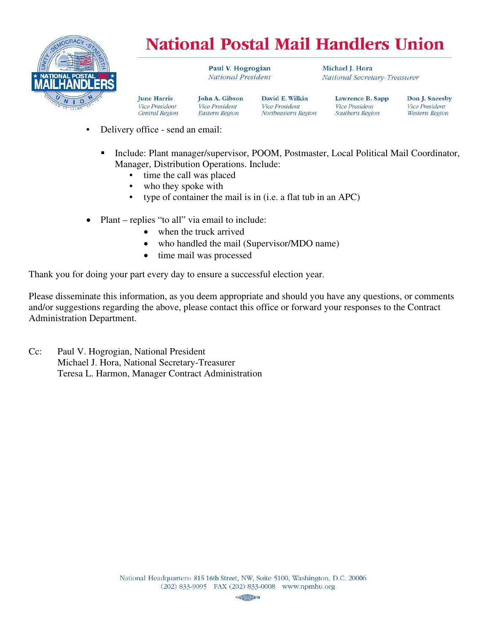

## **National Postal Mail Handlers Union**

Paul V. Hogrogian National President

John A. Gibson

**Vice President** 

Michael J. Hora National Secretary-Treasurer

Central Region Eastern Region

David E. Wilkin **Vice President** Northeastern Region Lawrence B. Sapp **Vice President** Southern Region

Don J. Sneesby **Vice President** Western Region

• Delivery office - send an email:

**June Harris** 

**Vice President** 

- **Include: Plant manager/supervisor, POOM, Postmaster, Local Political Mail Coordinator,** Manager, Distribution Operations. Include:
	- time the call was placed
	- who they spoke with
	- type of container the mail is in (i.e. a flat tub in an APC)
- Plant replies "to all" via email to include:
	- when the truck arrived
	- who handled the mail (Supervisor/MDO name)
	- time mail was processed

Thank you for doing your part every day to ensure a successful election year.

Please disseminate this information, as you deem appropriate and should you have any questions, or comments and/or suggestions regarding the above, please contact this office or forward your responses to the Contract Administration Department.

Cc: Paul V. Hogrogian, National President Michael J. Hora, National Secretary-Treasurer Teresa L. Harmon, Manager Contract Administration